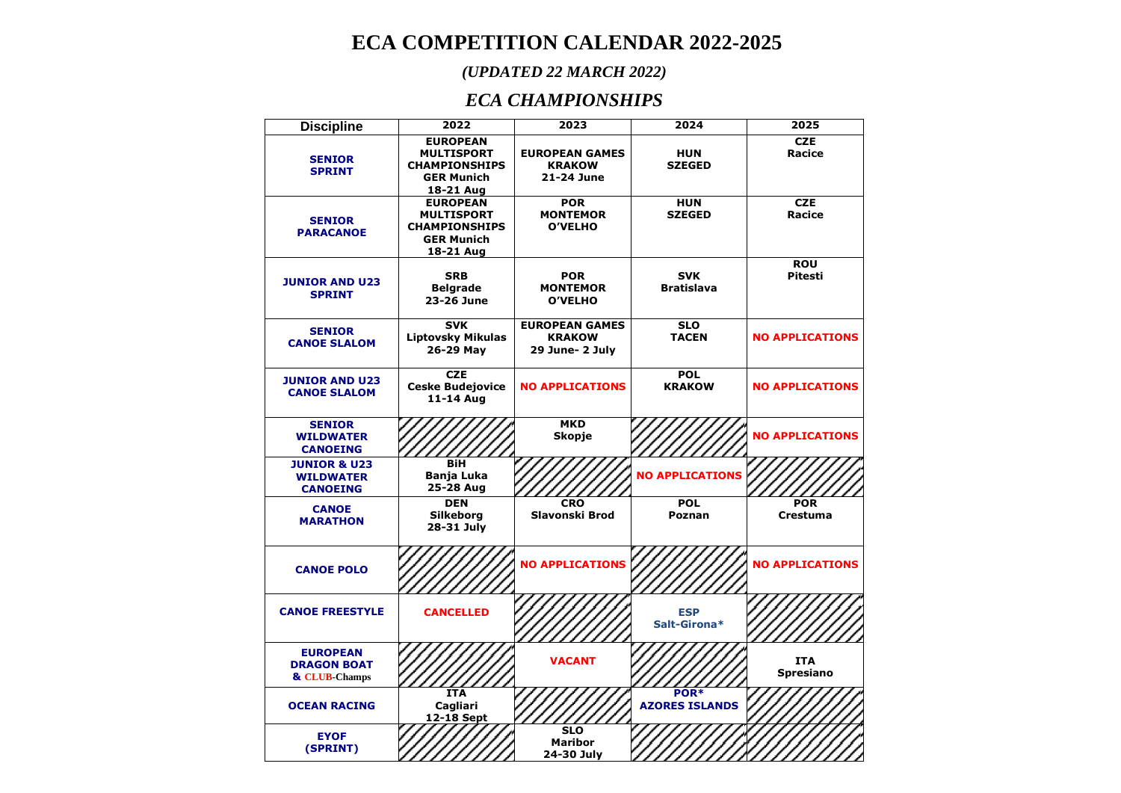## **ECA COMPETITION CALENDAR 2022-2025**

## *(UPDATED 22 MARCH 2022)*

## *ECA CHAMPIONSHIPS*

| <b>Discipline</b>                                              | 2022                                                                                           | 2023                                                      | 2024                            | 2025                           |
|----------------------------------------------------------------|------------------------------------------------------------------------------------------------|-----------------------------------------------------------|---------------------------------|--------------------------------|
| <b>SENIOR</b><br><b>SPRINT</b>                                 | <b>EUROPEAN</b><br><b>MULTISPORT</b><br><b>CHAMPIONSHIPS</b><br><b>GER Munich</b><br>18-21 Aug | <b>EUROPEAN GAMES</b><br><b>KRAKOW</b><br>21-24 June      | <b>HUN</b><br><b>SZEGED</b>     | <b>CZE</b><br>Racice           |
| <b>SENIOR</b><br><b>PARACANOE</b>                              | <b>EUROPEAN</b><br><b>MULTISPORT</b><br><b>CHAMPIONSHIPS</b><br><b>GER Munich</b><br>18-21 Aug | <b>POR</b><br><b>MONTEMOR</b><br><b>O'VELHO</b>           | <b>HUN</b><br><b>SZEGED</b>     | <b>CZE</b><br>Racice           |
| <b>JUNIOR AND U23</b><br><b>SPRINT</b>                         | <b>SRB</b><br><b>Belgrade</b><br>23-26 June                                                    | <b>POR</b><br><b>MONTEMOR</b><br><b>O'VELHO</b>           | <b>SVK</b><br><b>Bratislava</b> | <b>ROU</b><br><b>Pitesti</b>   |
| <b>SENIOR</b><br><b>CANOE SLALOM</b>                           | <b>SVK</b><br><b>Liptovsky Mikulas</b><br>26-29 May                                            | <b>EUROPEAN GAMES</b><br><b>KRAKOW</b><br>29 June- 2 July | <b>SLO</b><br><b>TACEN</b>      | <b>NO APPLICATIONS</b>         |
| <b>JUNIOR AND U23</b><br><b>CANOE SLALOM</b>                   | <b>CZE</b><br><b>Ceske Budejovice</b><br>11-14 Aug                                             | <b>NO APPLICATIONS</b>                                    | <b>POL</b><br><b>KRAKOW</b>     | <b>NO APPLICATIONS</b>         |
| <b>SENIOR</b><br><b>WILDWATER</b><br><b>CANOEING</b>           |                                                                                                | <b>MKD</b><br><b>Skopje</b>                               |                                 | <b>NO APPLICATIONS</b>         |
| <b>JUNIOR &amp; U23</b><br><b>WILDWATER</b><br><b>CANOEING</b> | BiH<br>Banja Luka<br>25-28 Aug                                                                 |                                                           | <b>NO APPLICATIONS</b>          |                                |
| <b>CANOE</b><br><b>MARATHON</b>                                | <b>DEN</b><br>Silkeborg<br>28-31 July                                                          | <b>CRO</b><br>Slavonski Brod                              | <b>POL</b><br>Poznan            | <b>POR</b><br><b>Crestuma</b>  |
| <b>CANOE POLO</b>                                              |                                                                                                | <b>NO APPLICATIONS</b>                                    |                                 | <b>NO APPLICATIONS</b>         |
| <b>CANOE FREESTYLE</b>                                         | <b>CANCELLED</b>                                                                               |                                                           | <b>ESP</b><br>Salt-Girona*      |                                |
| <b>EUROPEAN</b><br><b>DRAGON BOAT</b><br>& CLUB-Champs         |                                                                                                | <b>VACANT</b>                                             |                                 | <b>ITA</b><br><b>Spresiano</b> |
| <b>OCEAN RACING</b>                                            | <b>ITA</b><br>Cagliari<br>12-18 Sept                                                           |                                                           | POR*<br><b>AZORES ISLANDS</b>   |                                |
| <b>EYOF</b><br>(SPRINT)                                        |                                                                                                | <b>SLO</b><br><b>Maribor</b><br>24-30 July                |                                 |                                |